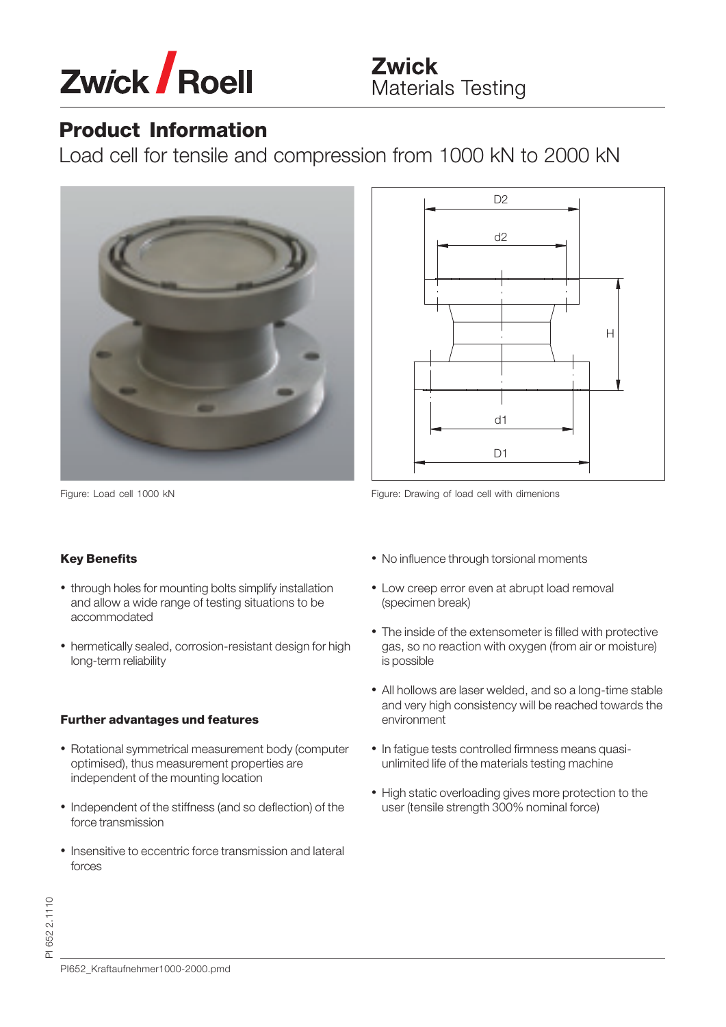

## **Product Information**

Load cell for tensile and compression from 1000 kN to 2000 kN





D<sub>2</sub>

### **Key Benefits**

- through holes for mounting bolts simplify installation and allow a wide range of testing situations to be accommodated
- hermetically sealed, corrosion-resistant design for high long-term reliability

### **Further advantages und features**

- Rotational symmetrical measurement body (computer optimised), thus measurement properties are independent of the mounting location
- Independent of the stiffness (and so deflection) of the force transmission
- Insensitive to eccentric force transmission and lateral forces
- No influence through torsional moments
- Low creep error even at abrupt load removal (specimen break)
- The inside of the extensometer is filled with protective gas, so no reaction with oxygen (from air or moisture) is possible
- All hollows are laser welded, and so a long-time stable and very high consistency will be reached towards the environment
- In fatigue tests controlled firmness means quasiunlimited life of the materials testing machine
- High static overloading gives more protection to the user (tensile strength 300% nominal force)